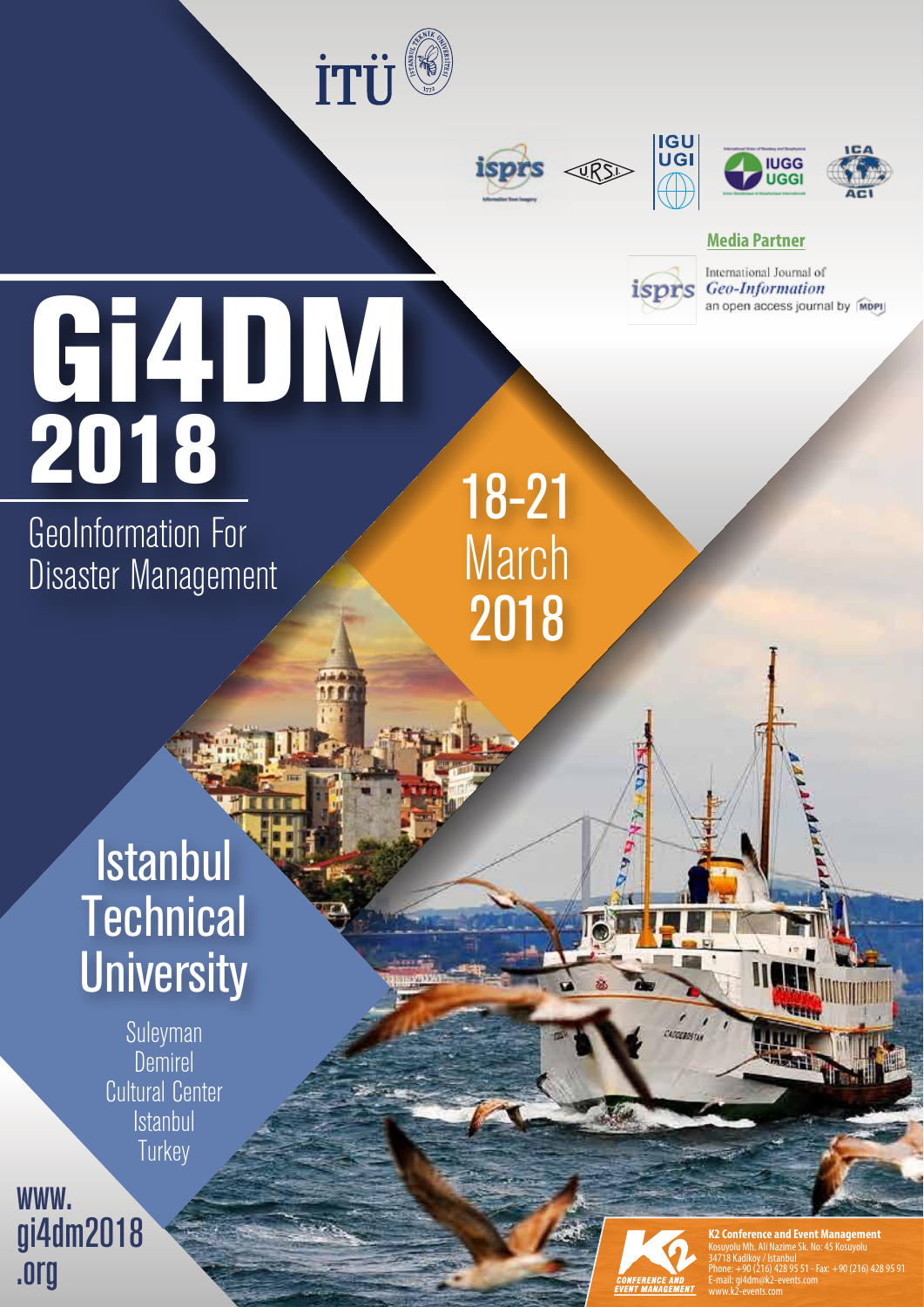





isprs



### **Media Partner**

International Journal of Geo-Information an open access journal by MDPI

# Gi4DM 2018

GeoInformation For Disaster Management

## 18-21 March 2018

Istanbul **Technical University** 

> Suleyman Demirel Cultural Center **Istanbul Turkey**

ו<br>ו www. gi4dm2018 .org



CACCEROSTAN

**K2 Conference and Event Management** Kosuyolu Mh. Ali Nazime Sk. No: 45 Kosuyolu 34718 Kadikoy / Istanbul  $+90(216)$  428 95 91 E-mail: gi4dm@k2-events.com www.k2-events.com